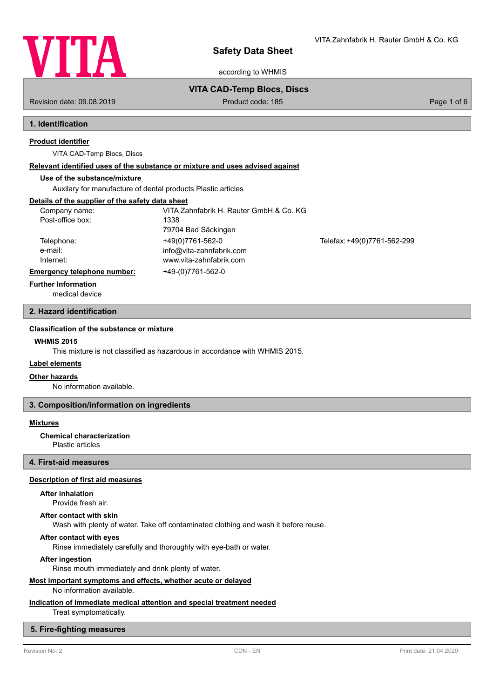

according to WHMIS

## **VITA CAD-Temp Blocs, Discs**

Revision date: 09.08.2019 **Product code: 185** Product code: 185 **Page 1 of 6** Page 1 of 6

VITA Zahnfabrik H. Rauter GmbH & Co. KG

# **1. Identification**

## **Product identifier**

VITA CAD-Temp Blocs, Discs

### **Relevant identified uses of the substance or mixture and uses advised against**

## **Use of the substance/mixture**

Auxilary for manufacture of dental products Plastic articles

## **Details of the supplier of the safety data sheet**

| Company name:                      | VITA Zahnfabrik H. Rauter GmbH & Co. KG |                             |
|------------------------------------|-----------------------------------------|-----------------------------|
| Post-office box:                   | 1338                                    |                             |
|                                    | 79704 Bad Säckingen                     |                             |
| Telephone:                         | +49(0)7761-562-0                        | Telefax: +49(0)7761-562-299 |
| e-mail:                            | info@vita-zahnfabrik.com                |                             |
| Internet:                          | www.vita-zahnfabrik.com                 |                             |
| <b>Emergency telephone number:</b> | +49-(0)7761-562-0                       |                             |
| _                                  |                                         |                             |

## **Further Information**

medical device

## **2. Hazard identification**

## **Classification of the substance or mixture**

## **WHMIS 2015**

This mixture is not classified as hazardous in accordance with WHMIS 2015.

## **Label elements**

### **Other hazards**

No information available.

## **3. Composition/information on ingredients**

## **Mixtures**

### **Chemical characterization**

Plastic articles

## **4. First-aid measures**

## **Description of first aid measures**

## **After inhalation**

Provide fresh air.

### **After contact with skin**

Wash with plenty of water. Take off contaminated clothing and wash it before reuse.

## **After contact with eyes**

Rinse immediately carefully and thoroughly with eye-bath or water.

### **After ingestion**

Rinse mouth immediately and drink plenty of water.

## **Most important symptoms and effects, whether acute or delayed**

No information available.

## **Indication of immediate medical attention and special treatment needed**

Treat symptomatically.

## **5. Fire-fighting measures**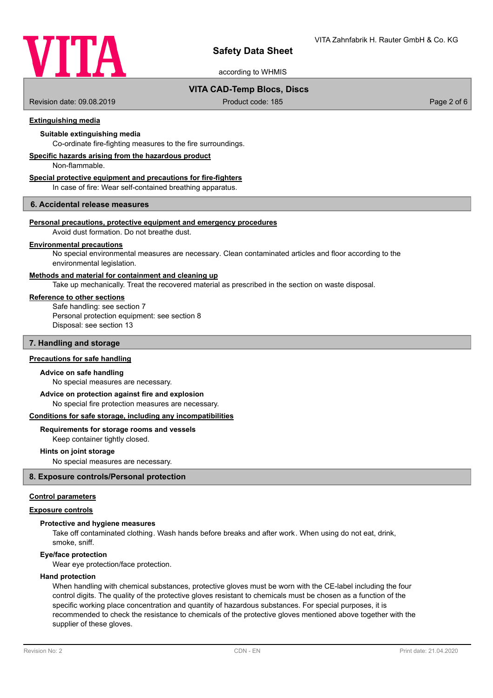

according to WHMIS

## **VITA CAD-Temp Blocs, Discs**

Revision date: 09.08.2019 Product code: 185 Page 2 of 6

## **Extinguishing media**

## **Suitable extinguishing media**

Co-ordinate fire-fighting measures to the fire surroundings.

## **Specific hazards arising from the hazardous product**

Non-flammable.

## **Special protective equipment and precautions for fire-fighters**

In case of fire: Wear self-contained breathing apparatus.

## **6. Accidental release measures**

## **Personal precautions, protective equipment and emergency procedures**

Avoid dust formation. Do not breathe dust.

### **Environmental precautions**

No special environmental measures are necessary. Clean contaminated articles and floor according to the environmental legislation.

## **Methods and material for containment and cleaning up**

Take up mechanically. Treat the recovered material as prescribed in the section on waste disposal.

## **Reference to other sections**

Safe handling: see section 7 Personal protection equipment: see section 8 Disposal: see section 13

## **7. Handling and storage**

## **Precautions for safe handling**

### **Advice on safe handling**

No special measures are necessary.

No special fire protection measures are necessary. **Advice on protection against fire and explosion**

# **Conditions for safe storage, including any incompatibilities**

# **Requirements for storage rooms and vessels**

Keep container tightly closed.

### **Hints on joint storage**

No special measures are necessary.

## **8. Exposure controls/Personal protection**

### **Control parameters**

## **Exposure controls**

### **Protective and hygiene measures**

Take off contaminated clothing. Wash hands before breaks and after work. When using do not eat, drink, smoke, sniff.

### **Eye/face protection**

Wear eye protection/face protection.

## **Hand protection**

When handling with chemical substances, protective gloves must be worn with the CE-label including the four control digits. The quality of the protective gloves resistant to chemicals must be chosen as a function of the specific working place concentration and quantity of hazardous substances. For special purposes, it is recommended to check the resistance to chemicals of the protective gloves mentioned above together with the supplier of these gloves.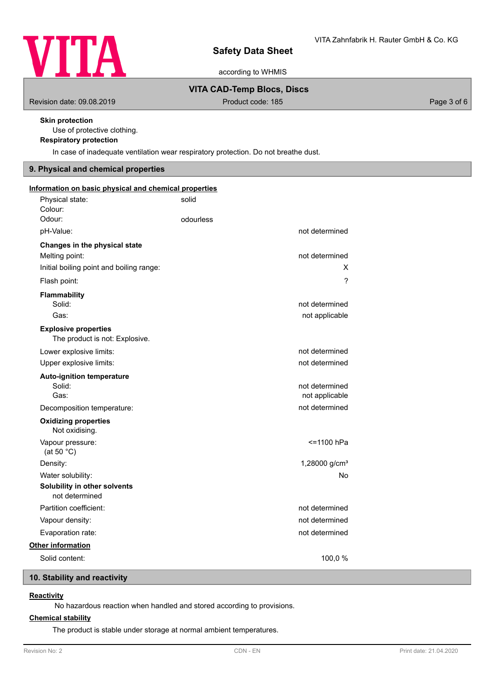

according to WHMIS

## **VITA CAD-Temp Blocs, Discs**

Revision date: 09.08.2019 **Product code: 185** Product code: 185

## **Skin protection**

Use of protective clothing.

# **Respiratory protection**

In case of inadequate ventilation wear respiratory protection. Do not breathe dust.

# **9. Physical and chemical properties**

| Information on basic physical and chemical properties                                       |           |                                  |
|---------------------------------------------------------------------------------------------|-----------|----------------------------------|
| Physical state:<br>Colour:                                                                  | solid     |                                  |
| Odour:                                                                                      | odourless |                                  |
| pH-Value:                                                                                   |           | not determined                   |
| Changes in the physical state<br>Melting point:<br>Initial boiling point and boiling range: |           | not determined<br>X              |
| Flash point:                                                                                |           | ?                                |
| <b>Flammability</b><br>Solid:<br>Gas:                                                       |           | not determined<br>not applicable |
| <b>Explosive properties</b><br>The product is not: Explosive.                               |           |                                  |
| Lower explosive limits:                                                                     |           | not determined                   |
| Upper explosive limits:                                                                     |           | not determined                   |
| <b>Auto-ignition temperature</b><br>Solid:<br>Gas:                                          |           | not determined<br>not applicable |
| Decomposition temperature:                                                                  |           | not determined                   |
| <b>Oxidizing properties</b><br>Not oxidising.                                               |           |                                  |
| Vapour pressure:<br>(at 50 $°C$ )                                                           |           | <=1100 hPa                       |
| Density:                                                                                    |           | 1,28000 g/cm <sup>3</sup>        |
| Water solubility:                                                                           |           | No                               |
| Solubility in other solvents<br>not determined                                              |           |                                  |
| Partition coefficient:                                                                      |           | not determined                   |
| Vapour density:                                                                             |           | not determined                   |
| Evaporation rate:                                                                           |           | not determined                   |
| Other information                                                                           |           |                                  |
| Solid content:                                                                              |           | 100,0%                           |

# **10. Stability and reactivity**

## **Reactivity**

No hazardous reaction when handled and stored according to provisions.

## **Chemical stability**

The product is stable under storage at normal ambient temperatures.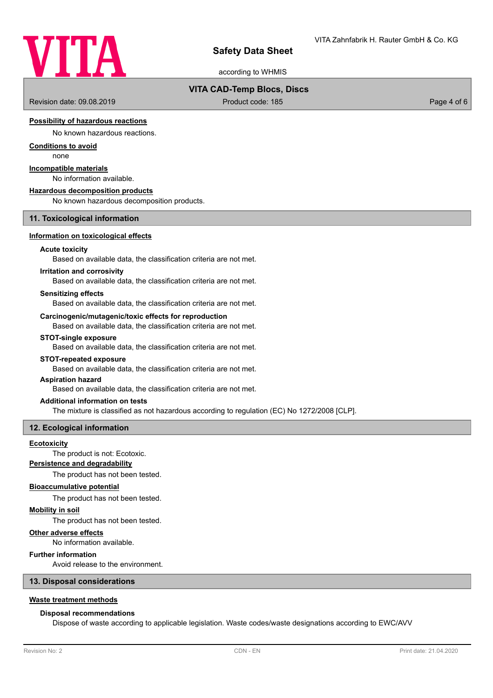

according to WHMIS

## **VITA CAD-Temp Blocs, Discs**

Revision date: 09.08.2019 **Product code: 185** Product code: 185 Page 4 of 6

## **Possibility of hazardous reactions**

No known hazardous reactions.

## **Conditions to avoid**

none

## **Incompatible materials**

No information available.

### **Hazardous decomposition products**

No known hazardous decomposition products.

### **11. Toxicological information**

### **Information on toxicological effects**

## **Acute toxicity**

Based on available data, the classification criteria are not met.

### **Irritation and corrosivity**

Based on available data, the classification criteria are not met.

## **Sensitizing effects**

Based on available data, the classification criteria are not met.

## **Carcinogenic/mutagenic/toxic effects for reproduction**

Based on available data, the classification criteria are not met.

## **STOT-single exposure**

Based on available data, the classification criteria are not met.

### **STOT-repeated exposure**

Based on available data, the classification criteria are not met.

### **Aspiration hazard**

Based on available data, the classification criteria are not met.

### **Additional information on tests**

The mixture is classified as not hazardous according to regulation (EC) No 1272/2008 [CLP].

### **12. Ecological information**

### **Ecotoxicity**

The product is not: Ecotoxic.

## **Persistence and degradability**

The product has not been tested.

### **Bioaccumulative potential**

The product has not been tested.

### **Mobility in soil**

The product has not been tested.

## **Other adverse effects**

No information available.

## **Further information**

Avoid release to the environment.

### **13. Disposal considerations**

### **Waste treatment methods**

### **Disposal recommendations**

Dispose of waste according to applicable legislation. Waste codes/waste designations according to EWC/AVV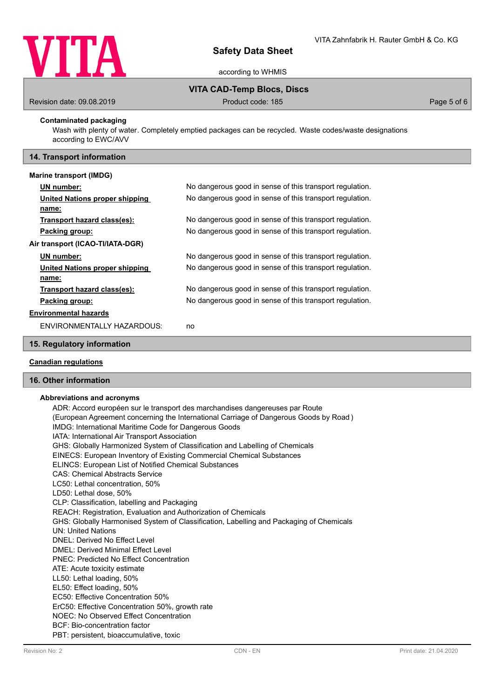

according to WHMIS

## **VITA CAD-Temp Blocs, Discs**

Revision date: 09.08.2019 **Product code: 185** Product code: 185 **Page 5 of 6** Page 5 of 6

## **Contaminated packaging**

Wash with plenty of water. Completely emptied packages can be recycled. Waste codes/waste designations according to EWC/AVV

## **14. Transport information**

### **Marine transport (IMDG)**

|                                  | UN number:                     | No dangerous good in sense of this transport regulation. |  |
|----------------------------------|--------------------------------|----------------------------------------------------------|--|
|                                  | United Nations proper shipping | No dangerous good in sense of this transport regulation. |  |
|                                  | name:                          |                                                          |  |
|                                  | Transport hazard class(es):    | No dangerous good in sense of this transport regulation. |  |
|                                  | Packing group:                 | No dangerous good in sense of this transport regulation. |  |
| Air transport (ICAO-TI/IATA-DGR) |                                |                                                          |  |
|                                  | UN number:                     | No dangerous good in sense of this transport regulation. |  |
|                                  | United Nations proper shipping | No dangerous good in sense of this transport regulation. |  |
|                                  | name:                          |                                                          |  |
|                                  | Transport hazard class(es):    | No dangerous good in sense of this transport regulation. |  |
|                                  | Packing group:                 | No dangerous good in sense of this transport regulation. |  |
|                                  | <b>Environmental hazards</b>   |                                                          |  |
|                                  | ENVIRONMENTALLY HAZARDOUS:     | no                                                       |  |

## **15. Regulatory information**

## **Canadian regulations**

## **16. Other information**

### **Abbreviations and acronyms**

ADR: Accord européen sur le transport des marchandises dangereuses par Route (European Agreement concerning the International Carriage of Dangerous Goods by Road ) IMDG: International Maritime Code for Dangerous Goods IATA: International Air Transport Association GHS: Globally Harmonized System of Classification and Labelling of Chemicals EINECS: European Inventory of Existing Commercial Chemical Substances ELINCS: European List of Notified Chemical Substances CAS: Chemical Abstracts Service LC50: Lethal concentration, 50% LD50: Lethal dose, 50% CLP: Classification, labelling and Packaging REACH: Registration, Evaluation and Authorization of Chemicals GHS: Globally Harmonised System of Classification, Labelling and Packaging of Chemicals UN: United Nations DNEL: Derived No Effect Level DMEL: Derived Minimal Effect Level PNEC: Predicted No Effect Concentration ATE: Acute toxicity estimate LL50: Lethal loading, 50% EL50: Effect loading, 50% EC50: Effective Concentration 50% ErC50: Effective Concentration 50%, growth rate NOEC: No Observed Effect Concentration BCF: Bio-concentration factor PBT: persistent, bioaccumulative, toxic